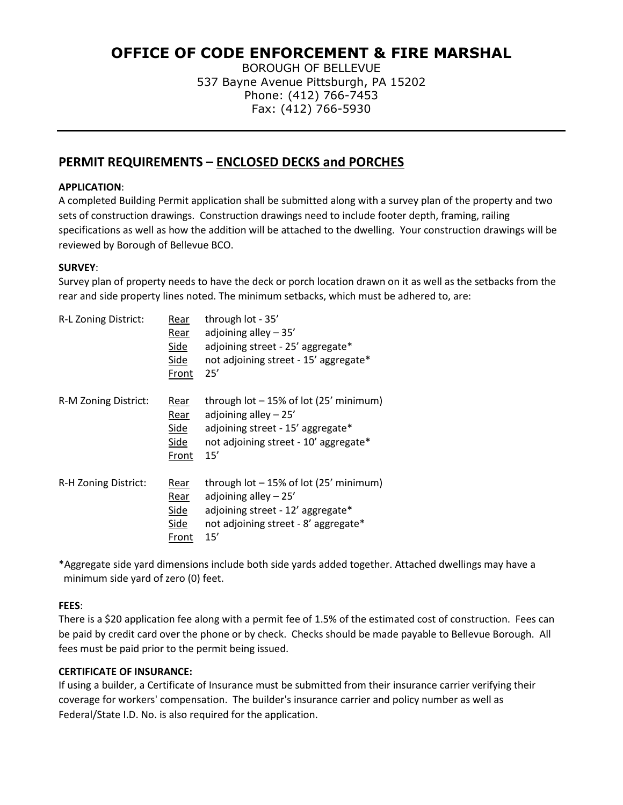# **OFFICE OF CODE ENFORCEMENT & FIRE MARSHAL**

BOROUGH OF BELLEVUE 537 Bayne Avenue Pittsburgh, PA 15202 Phone: (412) 766-7453 Fax: (412) 766-5930

# **PERMIT REQUIREMENTS – ENCLOSED DECKS and PORCHES**

#### **APPLICATION**:

A completed Building Permit application shall be submitted along with a survey plan of the property and two sets of construction drawings. Construction drawings need to include footer depth, framing, railing specifications as well as how the addition will be attached to the dwelling. Your construction drawings will be reviewed by Borough of Bellevue BCO.

#### **SURVEY**:

Survey plan of property needs to have the deck or porch location drawn on it as well as the setbacks from the rear and side property lines noted. The minimum setbacks, which must be adhered to, are:

| R-L Zoning District: | Rear<br><u>Rear</u><br><b>Side</b><br><b>Side</b><br>Front | through lot - 35'<br>adjoining alley $-35'$<br>adjoining street - 25' aggregate*<br>not adjoining street - 15' aggregate*<br>25'                      |
|----------------------|------------------------------------------------------------|-------------------------------------------------------------------------------------------------------------------------------------------------------|
| R-M Zoning District: | Rear<br>Rear<br><b>Side</b><br>Side<br>Front               | through lot - 15% of lot (25' minimum)<br>adjoining alley $-25'$<br>adjoining street - 15' aggregate*<br>not adjoining street - 10' aggregate*<br>15' |
| R-H Zoning District: | Rear<br>Rear<br><b>Side</b><br>Side<br>Front               | through lot - 15% of lot (25' minimum)<br>adjoining alley $-25'$<br>adjoining street - 12' aggregate*<br>not adjoining street - 8' aggregate*<br>15'  |

\*Aggregate side yard dimensions include both side yards added together. Attached dwellings may have a minimum side yard of zero (0) feet.

## **FEES**:

There is a \$20 application fee along with a permit fee of 1.5% of the estimated cost of construction. Fees can be paid by credit card over the phone or by check. Checks should be made payable to Bellevue Borough. All fees must be paid prior to the permit being issued.

## **CERTIFICATE OF INSURANCE:**

If using a builder, a Certificate of Insurance must be submitted from their insurance carrier verifying their coverage for workers' compensation. The builder's insurance carrier and policy number as well as Federal/State I.D. No. is also required for the application.